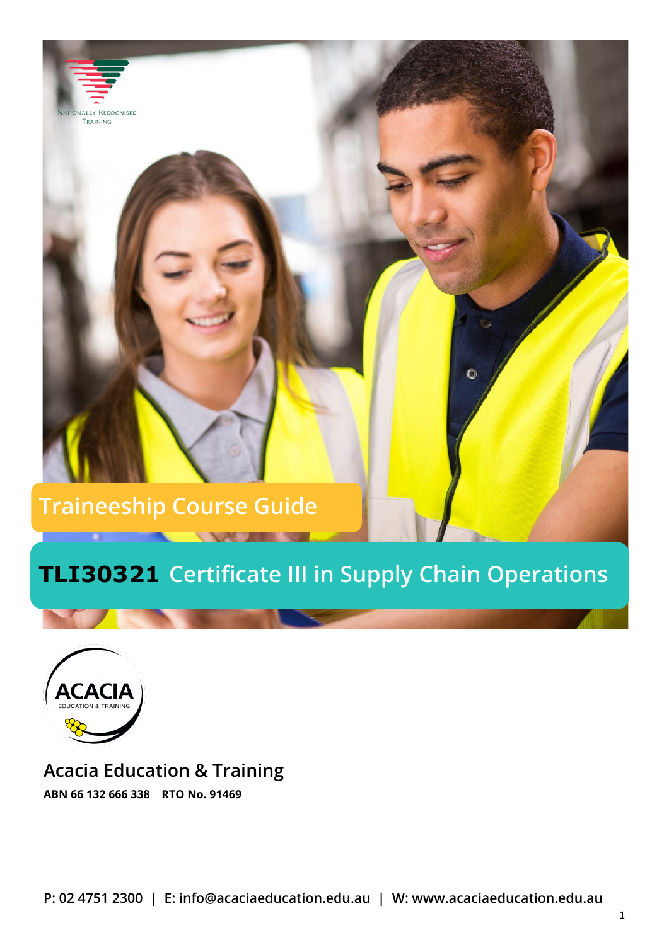# **Traineeship Course Guide**

# **TLI30321 Certificate III in Supply Chain Operations**



LY RECOGNISED TRAINING

**Acacia Education & Training ABN 66 132 666 338 RTO No. 91469**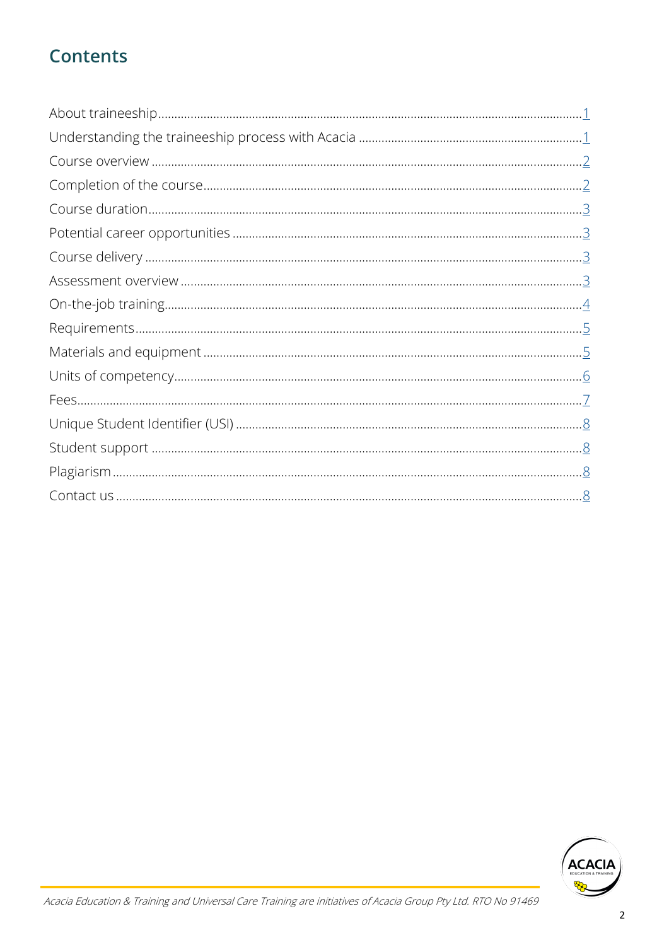# **Contents**

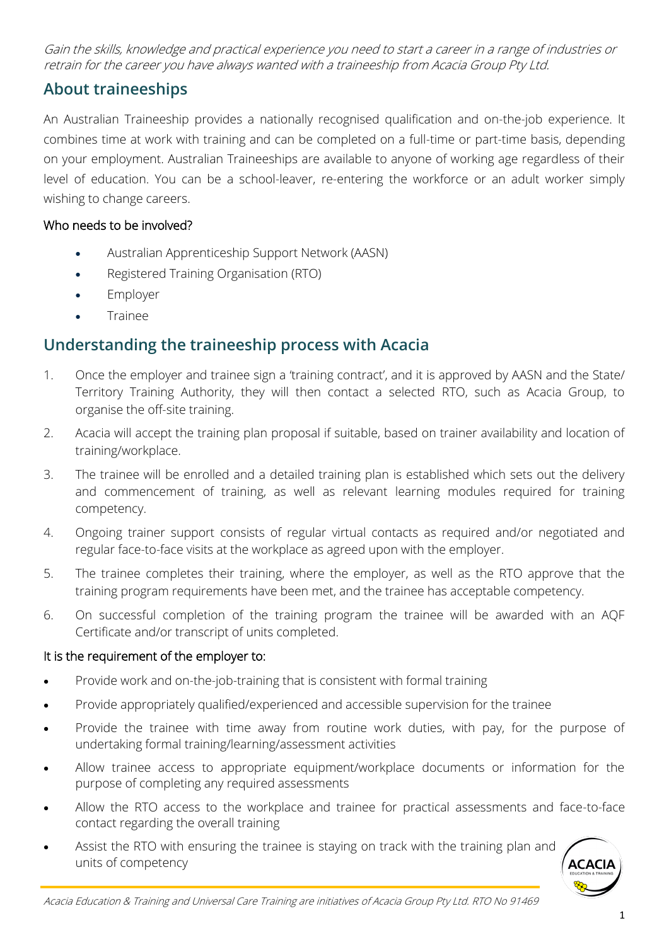<span id="page-2-0"></span>Gain the skills, knowledge and practical experience you need to start a career in a range of industries or retrain for the career you have always wanted with a traineeship from Acacia Group Pty Ltd.

# **About traineeships**

An Australian Traineeship provides a nationally recognised qualification and on-the-job experience. It combines time at work with training and can be completed on a full-time or part-time basis, depending on your employment. Australian Traineeships are available to anyone of working age regardless of their level of education. You can be a school-leaver, re-entering the workforce or an adult worker simply wishing to change careers.

#### Who needs to be involved?

- Australian Apprenticeship Support Network (AASN)
- Registered Training Organisation (RTO)
- Employer
- **Trainee**

## **Understanding the traineeship process with Acacia**

- 1. Once the employer and trainee sign a 'training contract', and it is approved by AASN and the State/ Territory Training Authority, they will then contact a selected RTO, such as Acacia Group, to organise the off-site training.
- 2. Acacia will accept the training plan proposal if suitable, based on trainer availability and location of training/workplace.
- 3. The trainee will be enrolled and a detailed training plan is established which sets out the delivery and commencement of training, as well as relevant learning modules required for training competency.
- 4. Ongoing trainer support consists of regular virtual contacts as required and/or negotiated and regular face-to-face visits at the workplace as agreed upon with the employer.
- 5. The trainee completes their training, where the employer, as well as the RTO approve that the training program requirements have been met, and the trainee has acceptable competency.
- 6. On successful completion of the training program the trainee will be awarded with an AQF Certificate and/or transcript of units completed.

#### It is the requirement of the employer to:

- Provide work and on-the-job-training that is consistent with formal training
- Provide appropriately qualified/experienced and accessible supervision for the trainee
- Provide the trainee with time away from routine work duties, with pay, for the purpose of undertaking formal training/learning/assessment activities
- Allow trainee access to appropriate equipment/workplace documents or information for the purpose of completing any required assessments
- Allow the RTO access to the workplace and trainee for practical assessments and face-to-face contact regarding the overall training
- Assist the RTO with ensuring the trainee is staying on track with the training plan and units of competency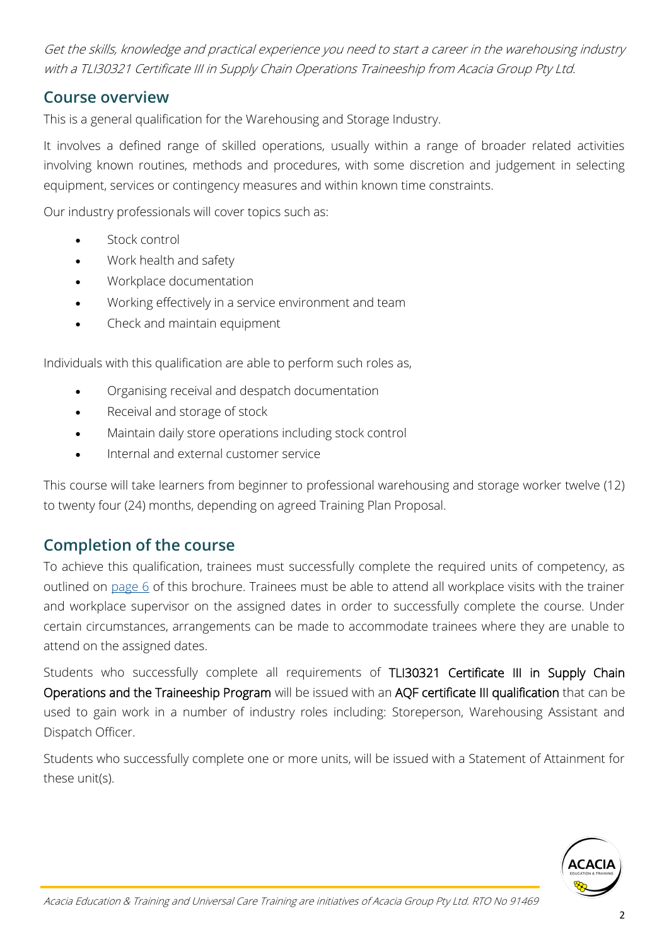<span id="page-3-0"></span>Get the skills, knowledge and practical experience you need to start a career in the warehousing industry with a TLI30321 Certificate III in Supply Chain Operations Traineeship from Acacia Group Pty Ltd.

### **Course overview**

This is a general qualification for the Warehousing and Storage Industry.

It involves a defined range of skilled operations, usually within a range of broader related activities involving known routines, methods and procedures, with some discretion and judgement in selecting equipment, services or contingency measures and within known time constraints.

Our industry professionals will cover topics such as:

- Stock control
- Work health and safety
- Workplace documentation
- Working effectively in a service environment and team
- Check and maintain equipment

Individuals with this qualification are able to perform such roles as,

- Organising receival and despatch documentation
- Receival and storage of stock
- Maintain daily store operations including stock control
- Internal and external customer service

This course will take learners from beginner to professional warehousing and storage worker twelve (12) to twenty four (24) months, depending on agreed Training Plan Proposal.

### **Completion of the course**

To achieve this qualification, trainees must successfully complete the required units of competency, as outlined on [page 6](#page-7-0) of this brochure. Trainees must be able to attend all workplace visits with the trainer and workplace supervisor on the assigned dates in order to successfully complete the course. Under certain circumstances, arrangements can be made to accommodate trainees where they are unable to attend on the assigned dates.

Students who successfully complete all requirements of TLI30321 Certificate III in Supply Chain Operations and the Traineeship Program will be issued with an AQF certificate III qualification that can be used to gain work in a number of industry roles including: Storeperson, Warehousing Assistant and Dispatch Officer.

Students who successfully complete one or more units, will be issued with a Statement of Attainment for these unit(s).

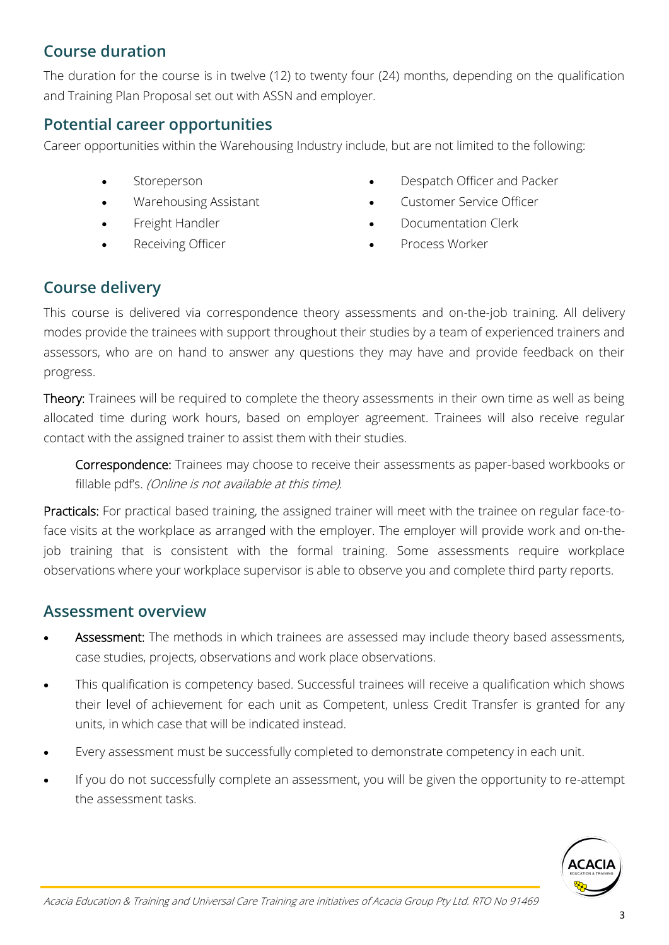# <span id="page-4-0"></span>**Course duration**

The duration for the course is in twelve (12) to twenty four (24) months, depending on the qualification and Training Plan Proposal set out with ASSN and employer.

### **Potential career opportunities**

Career opportunities within the Warehousing Industry include, but are not limited to the following:

- Storeperson
- Warehousing Assistant
- Freight Handler
- Receiving Officer
- Despatch Officer and Packer
- Customer Service Officer
- Documentation Clerk
- Process Worker

### **Course delivery**

This course is delivered via correspondence theory assessments and on-the-job training. All delivery modes provide the trainees with support throughout their studies by a team of experienced trainers and assessors, who are on hand to answer any questions they may have and provide feedback on their progress.

Theory: Trainees will be required to complete the theory assessments in their own time as well as being allocated time during work hours, based on employer agreement. Trainees will also receive regular contact with the assigned trainer to assist them with their studies.

Correspondence: Trainees may choose to receive their assessments as paper-based workbooks or fillable pdf's. (Online is not available at this time).

Practicals: For practical based training, the assigned trainer will meet with the trainee on regular face-toface visits at the workplace as arranged with the employer. The employer will provide work and on-thejob training that is consistent with the formal training. Some assessments require workplace observations where your workplace supervisor is able to observe you and complete third party reports.

#### **Assessment overview**

- Assessment: The methods in which trainees are assessed may include theory based assessments, case studies, projects, observations and work place observations.
- This qualification is competency based. Successful trainees will receive a qualification which shows their level of achievement for each unit as Competent, unless Credit Transfer is granted for any units, in which case that will be indicated instead.
- Every assessment must be successfully completed to demonstrate competency in each unit.
- If you do not successfully complete an assessment, you will be given the opportunity to re-attempt the assessment tasks.

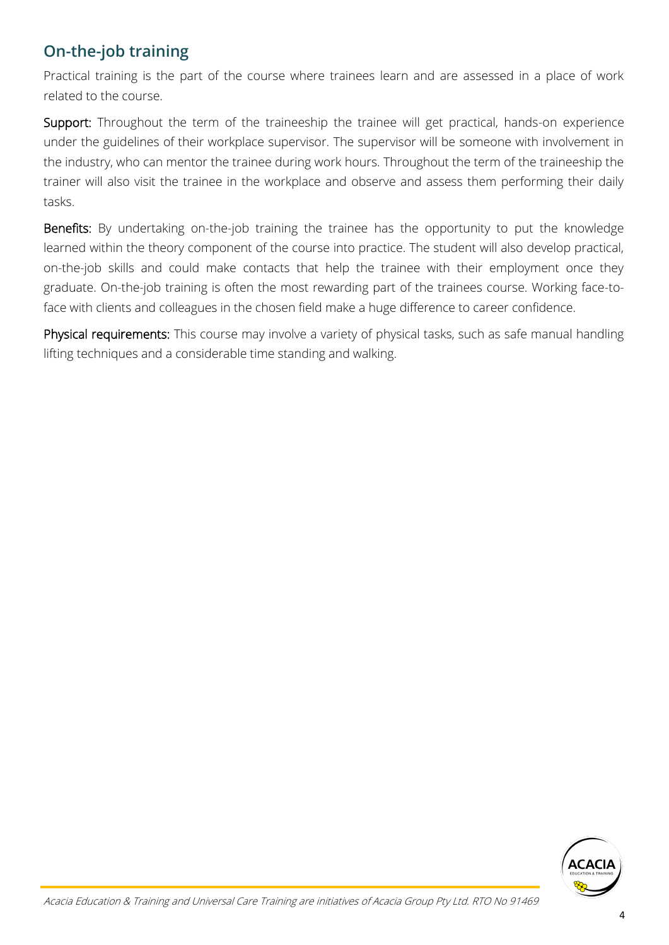# <span id="page-5-0"></span>**On-the-job training**

Practical training is the part of the course where trainees learn and are assessed in a place of work related to the course.

Support: Throughout the term of the traineeship the trainee will get practical, hands-on experience under the guidelines of their workplace supervisor. The supervisor will be someone with involvement in the industry, who can mentor the trainee during work hours. Throughout the term of the traineeship the trainer will also visit the trainee in the workplace and observe and assess them performing their daily tasks.

Benefits: By undertaking on-the-job training the trainee has the opportunity to put the knowledge learned within the theory component of the course into practice. The student will also develop practical, on-the-job skills and could make contacts that help the trainee with their employment once they graduate. On-the-job training is often the most rewarding part of the trainees course. Working face-toface with clients and colleagues in the chosen field make a huge difference to career confidence.

Physical requirements: This course may involve a variety of physical tasks, such as safe manual handling lifting techniques and a considerable time standing and walking.

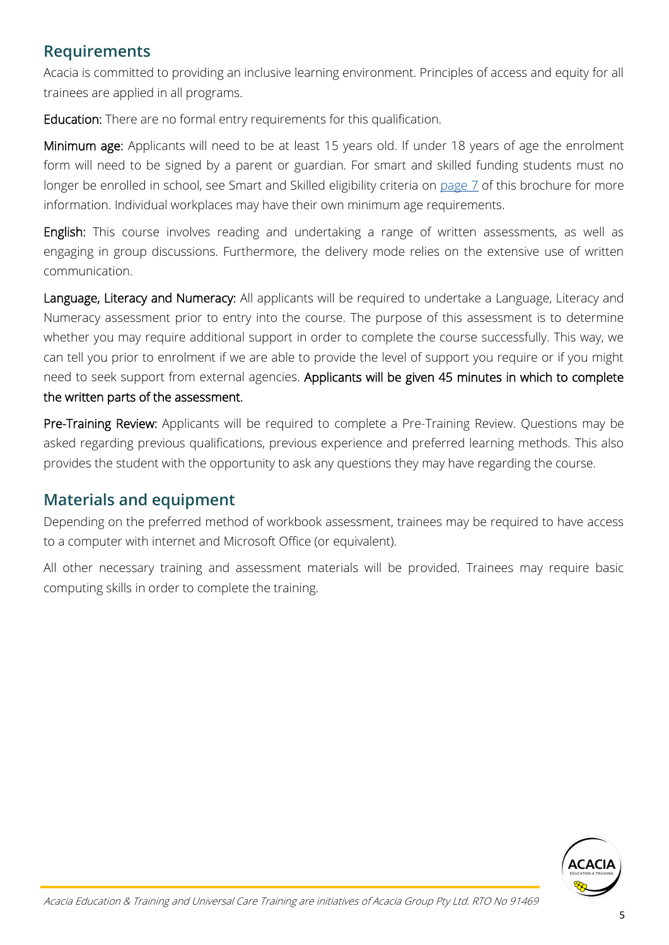### <span id="page-6-0"></span>**Requirements**

Acacia is committed to providing an inclusive learning environment. Principles of access and equity for all trainees are applied in all programs.

Education: There are no formal entry requirements for this qualification.

Minimum age: Applicants will need to be at least 15 years old. If under 18 years of age the enrolment form will need to be signed by a parent or guardian. For smart and skilled funding students must no longer be enrolled in school, see Smart and Skilled eligibility criteria on [page 7](#page-8-0) of this brochure for more information. Individual workplaces may have their own minimum age requirements.

English: This course involves reading and undertaking a range of written assessments, as well as engaging in group discussions. Furthermore, the delivery mode relies on the extensive use of written communication.

Language, Literacy and Numeracy: All applicants will be required to undertake a Language, Literacy and Numeracy assessment prior to entry into the course. The purpose of this assessment is to determine whether you may require additional support in order to complete the course successfully. This way, we can tell you prior to enrolment if we are able to provide the level of support you require or if you might need to seek support from external agencies. Applicants will be given 45 minutes in which to complete the written parts of the assessment.

Pre-Training Review: Applicants will be required to complete a Pre-Training Review. Questions may be asked regarding previous qualifications, previous experience and preferred learning methods. This also provides the student with the opportunity to ask any questions they may have regarding the course.

## **Materials and equipment**

Depending on the preferred method of workbook assessment, trainees may be required to have access to a computer with internet and Microsoft Office (or equivalent).

All other necessary training and assessment materials will be provided. Trainees may require basic computing skills in order to complete the training.

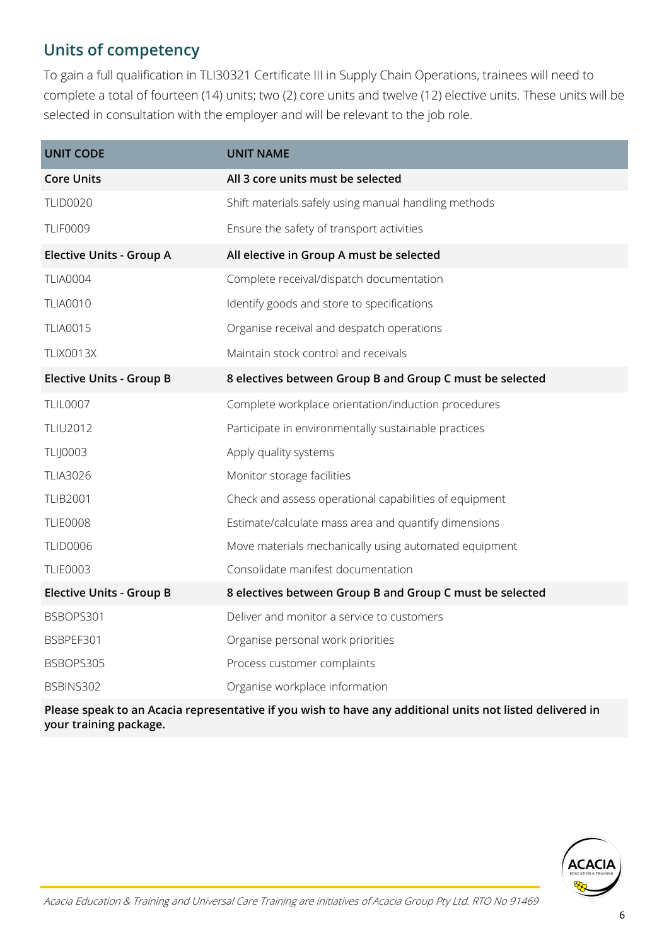# <span id="page-7-0"></span>**Units of competency**

To gain a full qualification in TLI30321 Certificate III in Supply Chain Operations, trainees will need to complete a total of fourteen (14) units; two (2) core units and twelve (12) elective units. These units will be selected in consultation with the employer and will be relevant to the job role.

| <b>UNIT CODE</b>                                                                                      | <b>UNIT NAME</b>                                         |  |
|-------------------------------------------------------------------------------------------------------|----------------------------------------------------------|--|
| <b>Core Units</b>                                                                                     | All 3 core units must be selected                        |  |
| <b>TLID0020</b>                                                                                       | Shift materials safely using manual handling methods     |  |
| <b>TLIF0009</b>                                                                                       | Ensure the safety of transport activities                |  |
| <b>Elective Units - Group A</b>                                                                       | All elective in Group A must be selected                 |  |
| <b>TLIA0004</b>                                                                                       | Complete receival/dispatch documentation                 |  |
| <b>TLIA0010</b>                                                                                       | Identify goods and store to specifications               |  |
| <b>TLIA0015</b>                                                                                       | Organise receival and despatch operations                |  |
| <b>TLIX0013X</b>                                                                                      | Maintain stock control and receivals                     |  |
| <b>Elective Units - Group B</b>                                                                       | 8 electives between Group B and Group C must be selected |  |
| <b>TLIL0007</b>                                                                                       | Complete workplace orientation/induction procedures      |  |
| <b>TLIU2012</b>                                                                                       | Participate in environmentally sustainable practices     |  |
| <b>TLIJ0003</b>                                                                                       | Apply quality systems                                    |  |
| <b>TLIA3026</b>                                                                                       | Monitor storage facilities                               |  |
| <b>TLIB2001</b>                                                                                       | Check and assess operational capabilities of equipment   |  |
| <b>TLIE0008</b>                                                                                       | Estimate/calculate mass area and quantify dimensions     |  |
| <b>TLID0006</b>                                                                                       | Move materials mechanically using automated equipment    |  |
| <b>TLIE0003</b>                                                                                       | Consolidate manifest documentation                       |  |
| <b>Elective Units - Group B</b>                                                                       | 8 electives between Group B and Group C must be selected |  |
| BSBOPS301                                                                                             | Deliver and monitor a service to customers               |  |
| BSBPEF301                                                                                             | Organise personal work priorities                        |  |
| BSBOPS305                                                                                             | Process customer complaints                              |  |
| BSBINS302                                                                                             | Organise workplace information                           |  |
| Dlassa speak to an Assais<br>esantativa if yayyukha haya any sekhitanal waita nati listakakalingan da |                                                          |  |

**Please speak to an Acacia representative if you wish to have any additional units not listed delivered in your training package.**

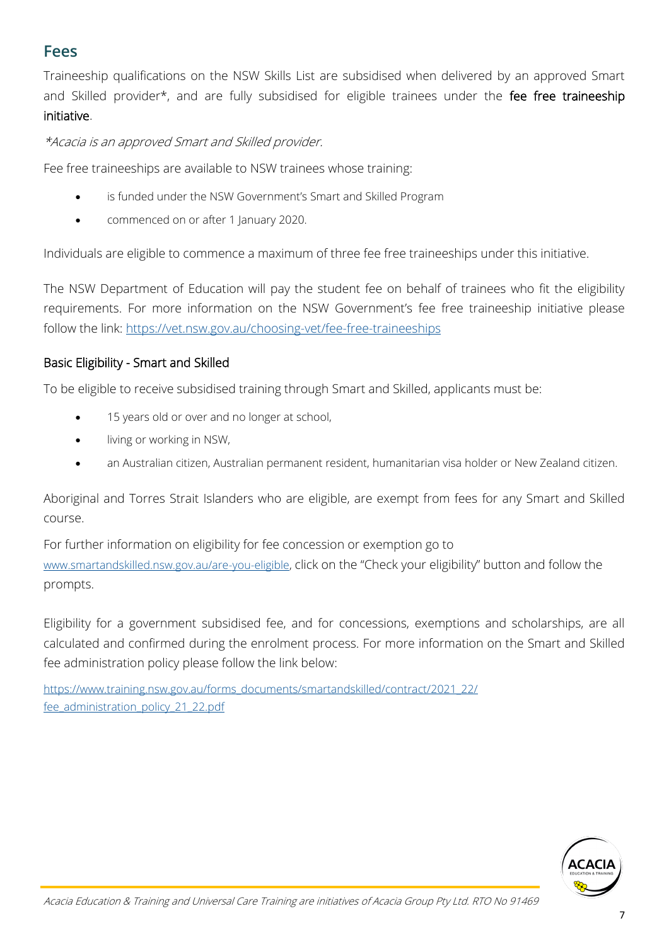# <span id="page-8-0"></span>**Fees**

Traineeship qualifications on the NSW Skills List are subsidised when delivered by an approved Smart and Skilled provider\*, and are fully subsidised for eligible trainees under the fee free traineeship initiative.

\*Acacia is an approved Smart and Skilled provider.

Fee free traineeships are available to NSW trainees whose training:

- is funded under the NSW Government's Smart and Skilled Program
- commenced on or after 1 January 2020.

Individuals are eligible to commence a maximum of three fee free traineeships under this initiative.

The NSW Department of Education will pay the student fee on behalf of trainees who fit the eligibility requirements. For more information on the NSW Government's fee free traineeship initiative please follow the link: [https://vet.nsw.gov.au/choosing](https://vet.nsw.gov.au/choosing-vet/fee-free-traineeships)-vet/fee-free-traineeships

#### Basic Eligibility - Smart and Skilled

To be eligible to receive subsidised training through Smart and Skilled, applicants must be:

- 15 years old or over and no longer at school,
- living or working in NSW,
- an Australian citizen, Australian permanent resident, humanitarian visa holder or New Zealand citizen.

Aboriginal and Torres Strait Islanders who are eligible, are exempt from fees for any Smart and Skilled course.

For further information on eligibility for fee concession or exemption go to [www.smartandskilled.nsw.gov.au/are](http://www.smartandskilled.nsw.gov.au/are-you-eligible)-you-eligible, click on the "Check your eligibility" button and follow the prompts.

Eligibility for a government subsidised fee, and for concessions, exemptions and scholarships, are all calculated and confirmed during the enrolment process. For more information on the Smart and Skilled fee administration policy please follow the link below:

[https://www.training.nsw.gov.au/forms\\_documents/smartandskilled/contract/2021\\_22/](https://www.training.nsw.gov.au/forms_documents/smartandskilled/contract/2021_22/fee_administration_policy_21_22.pdf) [fee\\_administration\\_policy\\_21\\_22.pdf](https://www.training.nsw.gov.au/forms_documents/smartandskilled/contract/2021_22/fee_administration_policy_21_22.pdf)